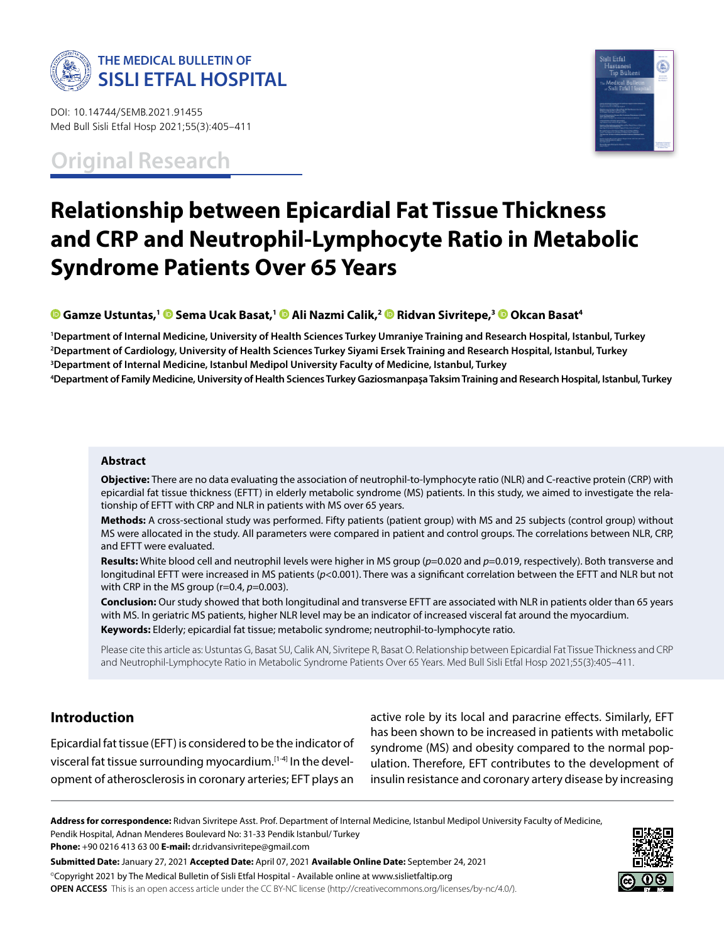

DOI: 10.14744/SEMB.2021.91455 Med Bull Sisli Etfal Hosp 2021;55(3):405–411

**Original Research**



# **Relationship between Epicardial Fat Tissue Thickness and CRP and Neutrophil-Lymphocyte Ratio in Metabolic Syndrome Patients Over 65 Years**

**Gamze Ustuntas,[1 S](https://orcid.org/0000-0002-6479-1644)ema Ucak Basat,1 [A](https://orcid.org/0000-0003-4153-4589)li Nazmi Calik,2Ridvan Sivritepe,[3 O](https://orcid.org/0000-0002-5222-9136)kcan Basat4**

 **Department of Internal Medicine, University of Health Sciences Turkey Umraniye Training and Research Hospital, Istanbul, Turkey Department of Cardiology, University of Health Sciences Turkey Siyami Ersek Training and Research Hospital, Istanbul, Turkey Department of Internal Medicine, Istanbul Medipol University Faculty of Medicine, Istanbul, Turkey Department of Family Medicine, University of Health Sciences Turkey Gaziosmanpaşa Taksim Training and Research Hospital, Istanbul, Turkey**

### **Abstract**

**Objective:** There are no data evaluating the association of neutrophil-to-lymphocyte ratio (NLR) and C-reactive protein (CRP) with epicardial fat tissue thickness (EFTT) in elderly metabolic syndrome (MS) patients. In this study, we aimed to investigate the relationship of EFTT with CRP and NLR in patients with MS over 65 years.

**Methods:** A cross-sectional study was performed. Fifty patients (patient group) with MS and 25 subjects (control group) without MS were allocated in the study. All parameters were compared in patient and control groups. The correlations between NLR, CRP, and EFTT were evaluated.

**Results:** White blood cell and neutrophil levels were higher in MS group (*p*=0.020 and *p*=0.019, respectively). Both transverse and longitudinal EFTT were increased in MS patients (*p*<0.001). There was a significant correlation between the EFTT and NLR but not with CRP in the MS group (r=0.4, *p*=0.003).

**Conclusion:** Our study showed that both longitudinal and transverse EFTT are associated with NLR in patients older than 65 years with MS. In geriatric MS patients, higher NLR level may be an indicator of increased visceral fat around the myocardium. **Keywords:** Elderly; epicardial fat tissue; metabolic syndrome; neutrophil-to-lymphocyte ratio.

Please cite this article as: Ustuntas G, Basat SU, Calik AN, Sivritepe R, Basat O. Relationship between Epicardial Fat Tissue Thickness and CRP and Neutrophil-Lymphocyte Ratio in Metabolic Syndrome Patients Over 65 Years. Med Bull Sisli Etfal Hosp 2021;55(3):405–411.

# **Introduction**

Epicardial fat tissue (EFT) is considered to be the indicator of visceral fat tissue surrounding myocardium.[1-4] In the development of atherosclerosis in coronary arteries; EFT plays an

active role by its local and paracrine effects. Similarly, EFT has been shown to be increased in patients with metabolic syndrome (MS) and obesity compared to the normal population. Therefore, EFT contributes to the development of insulin resistance and coronary artery disease by increasing

**Address for correspondence:** Rıdvan Sivritepe Asst. Prof. Department of Internal Medicine, Istanbul Medipol University Faculty of Medicine, Pendik Hospital, Adnan Menderes Boulevard No: 31-33 Pendik Istanbul/ Turkey

**Phone:** +90 0216 413 63 00 **E-mail:** dr.ridvansivritepe@gmail.com

**Submitted Date:** January 27, 2021 **Accepted Date:** April 07, 2021 **Available Online Date:** September 24, 2021 ©Copyright 2021 by The Medical Bulletin of Sisli Etfal Hospital - Available online at www.sislietfaltip.org **OPEN ACCESS** This is an open access article under the CC BY-NC license (http://creativecommons.org/licenses/by-nc/4.0/).

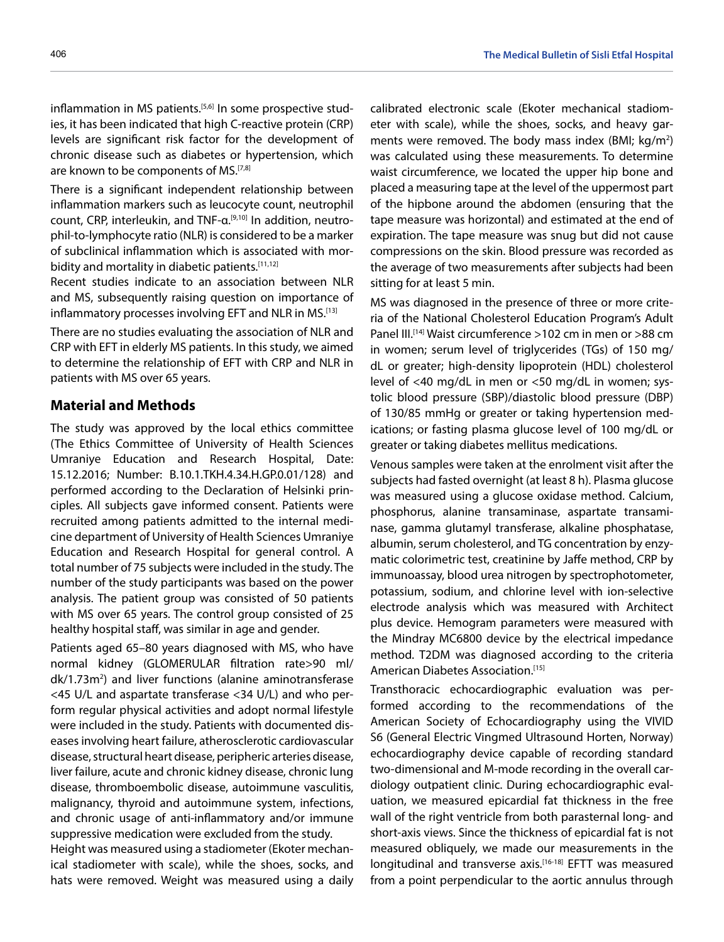inflammation in MS patients.<sup>[5,6]</sup> In some prospective studies, it has been indicated that high C-reactive protein (CRP) levels are significant risk factor for the development of chronic disease such as diabetes or hypertension, which are known to be components of MS.<sup>[7,8]</sup>

There is a significant independent relationship between inflammation markers such as leucocyte count, neutrophil count, CRP, interleukin, and TNF-α.[9,10] In addition, neutrophil-to-lymphocyte ratio (NLR) is considered to be a marker of subclinical inflammation which is associated with morbidity and mortality in diabetic patients.<sup>[11,12]</sup>

Recent studies indicate to an association between NLR and MS, subsequently raising question on importance of inflammatory processes involving EFT and NLR in MS.[13]

There are no studies evaluating the association of NLR and CRP with EFT in elderly MS patients. In this study, we aimed to determine the relationship of EFT with CRP and NLR in patients with MS over 65 years.

## **Material and Methods**

The study was approved by the local ethics committee (The Ethics Committee of University of Health Sciences Umraniye Education and Research Hospital, Date: 15.12.2016; Number: B.10.1.TKH.4.34.H.GP.0.01/128) and performed according to the Declaration of Helsinki principles. All subjects gave informed consent. Patients were recruited among patients admitted to the internal medicine department of University of Health Sciences Umraniye Education and Research Hospital for general control. A total number of 75 subjects were included in the study. The number of the study participants was based on the power analysis. The patient group was consisted of 50 patients with MS over 65 years. The control group consisted of 25 healthy hospital staff, was similar in age and gender.

Patients aged 65–80 years diagnosed with MS, who have normal kidney (GLOMERULAR filtration rate>90 ml/ dk/1.73m<sup>2</sup>) and liver functions (alanine aminotransferase <45 U/L and aspartate transferase <34 U/L) and who perform regular physical activities and adopt normal lifestyle were included in the study. Patients with documented diseases involving heart failure, atherosclerotic cardiovascular disease, structural heart disease, peripheric arteries disease, liver failure, acute and chronic kidney disease, chronic lung disease, thromboembolic disease, autoimmune vasculitis, malignancy, thyroid and autoimmune system, infections, and chronic usage of anti-inflammatory and/or immune suppressive medication were excluded from the study.

Height was measured using a stadiometer (Ekoter mechanical stadiometer with scale), while the shoes, socks, and hats were removed. Weight was measured using a daily calibrated electronic scale (Ekoter mechanical stadiometer with scale), while the shoes, socks, and heavy garments were removed. The body mass index (BMI; kg/m<sup>2</sup>) was calculated using these measurements. To determine waist circumference, we located the upper hip bone and placed a measuring tape at the level of the uppermost part of the hipbone around the abdomen (ensuring that the tape measure was horizontal) and estimated at the end of expiration. The tape measure was snug but did not cause compressions on the skin. Blood pressure was recorded as the average of two measurements after subjects had been sitting for at least 5 min.

MS was diagnosed in the presence of three or more criteria of the National Cholesterol Education Program's Adult Panel III.<sup>[14]</sup> Waist circumference >102 cm in men or >88 cm in women; serum level of triglycerides (TGs) of 150 mg/ dL or greater; high-density lipoprotein (HDL) cholesterol level of <40 mg/dL in men or <50 mg/dL in women; systolic blood pressure (SBP)/diastolic blood pressure (DBP) of 130/85 mmHg or greater or taking hypertension medications; or fasting plasma glucose level of 100 mg/dL or greater or taking diabetes mellitus medications.

Venous samples were taken at the enrolment visit after the subjects had fasted overnight (at least 8 h). Plasma glucose was measured using a glucose oxidase method. Calcium, phosphorus, alanine transaminase, aspartate transaminase, gamma glutamyl transferase, alkaline phosphatase, albumin, serum cholesterol, and TG concentration by enzymatic colorimetric test, creatinine by Jaffe method, CRP by immunoassay, blood urea nitrogen by spectrophotometer, potassium, sodium, and chlorine level with ion-selective electrode analysis which was measured with Architect plus device. Hemogram parameters were measured with the Mindray MC6800 device by the electrical impedance method. T2DM was diagnosed according to the criteria American Diabetes Association.[15]

Transthoracic echocardiographic evaluation was performed according to the recommendations of the American Society of Echocardiography using the VIVID S6 (General Electric Vingmed Ultrasound Horten, Norway) echocardiography device capable of recording standard two-dimensional and M-mode recording in the overall cardiology outpatient clinic. During echocardiographic evaluation, we measured epicardial fat thickness in the free wall of the right ventricle from both parasternal long- and short-axis views. Since the thickness of epicardial fat is not measured obliquely, we made our measurements in the longitudinal and transverse axis.[16-18] EFTT was measured from a point perpendicular to the aortic annulus through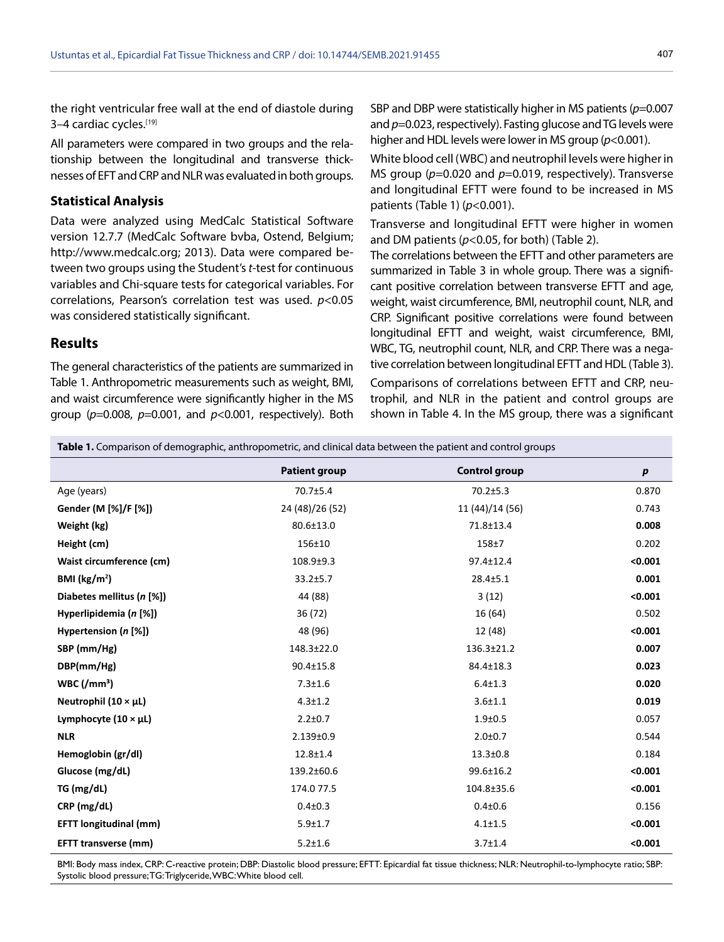the right ventricular free wall at the end of diastole during 3-4 cardiac cycles.[19]

All parameters were compared in two groups and the relationship between the longitudinal and transverse thicknesses of EFT and CRP and NLR was evaluated in both groups.

## **Statistical Analysis**

Data were analyzed using MedCalc Statistical Software version 12.7.7 (MedCalc Software bvba, Ostend, Belgium; http://www.medcalc.org; 2013). Data were compared between two groups using the Student's *t*-test for continuous variables and Chi-square tests for categorical variables. For correlations, Pearson's correlation test was used. *p*<0.05 was considered statistically significant.

#### **Results**

The general characteristics of the patients are summarized in Table 1. Anthropometric measurements such as weight, BMI, and waist circumference were significantly higher in the MS group (*p*=0.008, *p*=0.001, and *p*<0.001, respectively). Both

SBP and DBP were statistically higher in MS patients (*p*=0.007 and  $p=0.023$ , respectively). Fasting glucose and TG levels were higher and HDL levels were lower in MS group (*p*<0.001).

White blood cell (WBC) and neutrophil levels were higher in MS group ( $p=0.020$  and  $p=0.019$ , respectively). Transverse and longitudinal EFTT were found to be increased in MS patients (Table 1) (*p*<0.001).

Transverse and longitudinal EFTT were higher in women and DM patients (*p*<0.05, for both) (Table 2).

The correlations between the EFTT and other parameters are summarized in Table 3 in whole group. There was a significant positive correlation between transverse EFTT and age, weight, waist circumference, BMI, neutrophil count, NLR, and CRP. Significant positive correlations were found between longitudinal EFTT and weight, waist circumference, BMI, WBC, TG, neutrophil count, NLR, and CRP. There was a negative correlation between longitudinal EFTT and HDL (Table 3).

Comparisons of correlations between EFTT and CRP, neutrophil, and NLR in the patient and control groups are shown in Table 4. In the MS group, there was a significant

**Table 1.** Comparison of demographic, anthropometric, and clinical data between the patient and control groups

|                                | <b>Patient group</b> | <b>Control group</b> | $\boldsymbol{p}$ |
|--------------------------------|----------------------|----------------------|------------------|
| Age (years)                    | 70.7±5.4             | $70.2 \pm 5.3$       | 0.870            |
| Gender (M [%]/F [%])           | 24 (48)/26 (52)      | 11 (44)/14 (56)      | 0.743            |
| Weight (kg)                    | 80.6±13.0            | 71.8±13.4            | 0.008            |
| Height (cm)                    | 156±10               | $158 + 7$            | 0.202            |
| Waist circumference (cm)       | 108.9±9.3            | 97.4±12.4            | < 0.001          |
| BMI (kg/m <sup>2</sup> )       | $33.2 + 5.7$         | $28.4 \pm 5.1$       | 0.001            |
| Diabetes mellitus (n [%])      | 44 (88)              | 3(12)                | < 0.001          |
| Hyperlipidemia (n [%])         | 36 (72)              | 16 (64)              | 0.502            |
| Hypertension $(n \, [\%])$     | 48 (96)              | 12 (48)              | < 0.001          |
| SBP (mm/Hg)                    | 148.3±22.0           | 136.3±21.2           | 0.007            |
| DBP(mm/Hg)                     | $90.4 \pm 15.8$      | 84.4±18.3            | 0.023            |
| WBC/(mm <sup>3</sup> )         | $7.3 \pm 1.6$        | $6.4 \pm 1.3$        | 0.020            |
| Neutrophil $(10 \times \mu L)$ | $4.3 + 1.2$          | $3.6 + 1.1$          | 0.019            |
| Lymphocyte $(10 \times \mu L)$ | $2.2 \pm 0.7$        | $1.9 + 0.5$          | 0.057            |
| <b>NLR</b>                     | $2.139 \pm 0.9$      | $2.0 + 0.7$          | 0.544            |
| Hemoglobin (gr/dl)             | $12.8 + 1.4$         | $13.3 \pm 0.8$       | 0.184            |
| Glucose (mg/dL)                | 139.2±60.6           | $99.6 \pm 16.2$      | < 0.001          |
| TG (mg/dL)                     | 174.077.5            | 104.8±35.6           | < 0.001          |
| CRP (mg/dL)                    | $0.4 \pm 0.3$        | $0.4 + 0.6$          | 0.156            |
| <b>EFTT</b> longitudinal (mm)  | $5.9 \pm 1.7$        | $4.1 \pm 1.5$        | < 0.001          |
| <b>EFTT transverse (mm)</b>    | $5.2 + 1.6$          | $3.7 + 1.4$          | < 0.001          |

BMI: Body mass index, CRP: C-reactive protein; DBP: Diastolic blood pressure; EFTT: Epicardial fat tissue thickness; NLR: Neutrophil-to-lymphocyte ratio; SBP: Systolic blood pressure; TG: Triglyceride, WBC: White blood cell.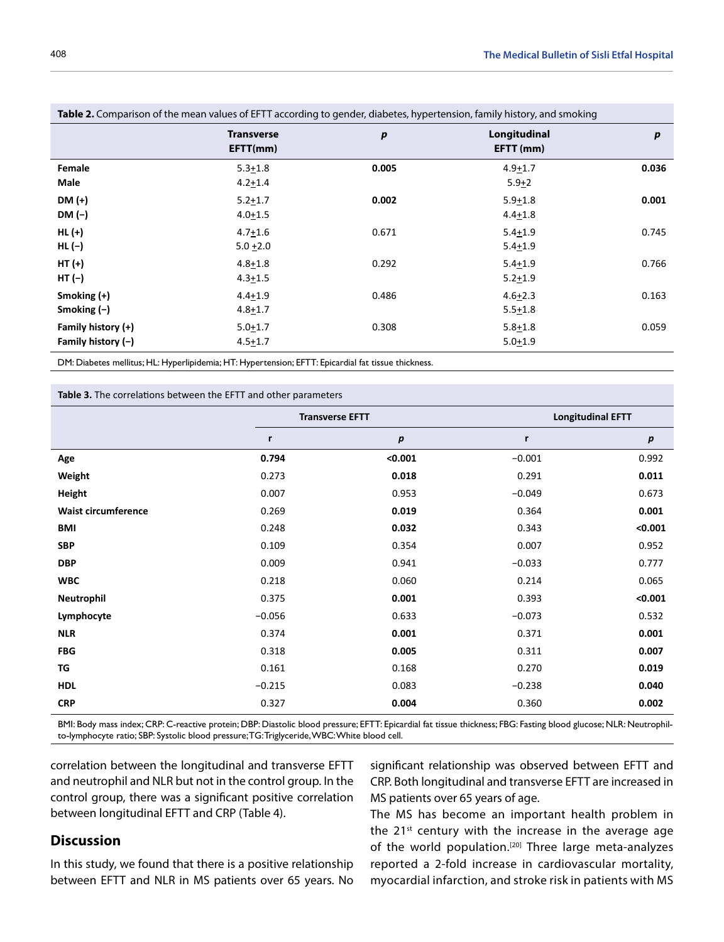| <b>Table 2.</b> Comparison of the mean values of EFTT according to gender, diabetes, hypertension, family history, and smoking |                               |                  |                            |       |
|--------------------------------------------------------------------------------------------------------------------------------|-------------------------------|------------------|----------------------------|-------|
|                                                                                                                                | <b>Transverse</b><br>EFTT(mm) | $\boldsymbol{p}$ | Longitudinal<br>EFTT (mm)  | p     |
| Female<br>Male                                                                                                                 | $5.3 + 1.8$<br>$4.2 + 1.4$    | 0.005            | $4.9 + 1.7$<br>$5.9 + 2$   | 0.036 |
| $DM (+)$<br>DM (-)                                                                                                             | $5.2 + 1.7$<br>$4.0 + 1.5$    | 0.002            | $5.9 + 1.8$<br>$4.4 + 1.8$ | 0.001 |
| $HL (+)$<br>$HL$ $(-)$                                                                                                         | $4.7 + 1.6$<br>$5.0 + 2.0$    | 0.671            | $5.4 + 1.9$<br>$5.4 + 1.9$ | 0.745 |
| $HT (+)$<br>HT (-)                                                                                                             | $4.8 + 1.8$<br>$4.3 \pm 1.5$  | 0.292            | $5.4 + 1.9$<br>$5.2 + 1.9$ | 0.766 |
| Smoking $(+)$<br>Smoking $(-)$                                                                                                 | $4.4 + 1.9$<br>$4.8 + 1.7$    | 0.486            | $4.6 + 2.3$<br>$5.5 + 1.8$ | 0.163 |
| Family history (+)<br>Family history $(-)$                                                                                     | $5.0 + 1.7$<br>$4.5 + 1.7$    | 0.308            | $5.8 + 1.8$<br>$5.0 + 1.9$ | 0.059 |

**Table 2.** Comparison of the mean values of EFTT according to gender, diabetes, hypertension, family history, and smoking

DM: Diabetes mellitus; HL: Hyperlipidemia; HT: Hypertension; EFTT: Epicardial fat tissue thickness.

**Table 3.** The correlations between the EFTT and other parameters

|                            | <b>Transverse EFTT</b> |         |          | <b>Longitudinal EFTT</b> |  |  |
|----------------------------|------------------------|---------|----------|--------------------------|--|--|
|                            | r                      | p       | r        | $\boldsymbol{p}$         |  |  |
| Age                        | 0.794                  | < 0.001 | $-0.001$ | 0.992                    |  |  |
| Weight                     | 0.273                  | 0.018   | 0.291    | 0.011                    |  |  |
| Height                     | 0.007                  | 0.953   | $-0.049$ | 0.673                    |  |  |
| <b>Waist circumference</b> | 0.269                  | 0.019   | 0.364    | 0.001                    |  |  |
| BMI                        | 0.248                  | 0.032   | 0.343    | < 0.001                  |  |  |
| <b>SBP</b>                 | 0.109                  | 0.354   | 0.007    | 0.952                    |  |  |
| <b>DBP</b>                 | 0.009                  | 0.941   | $-0.033$ | 0.777                    |  |  |
| <b>WBC</b>                 | 0.218                  | 0.060   | 0.214    | 0.065                    |  |  |
| Neutrophil                 | 0.375                  | 0.001   | 0.393    | < 0.001                  |  |  |
| Lymphocyte                 | $-0.056$               | 0.633   | $-0.073$ | 0.532                    |  |  |
| <b>NLR</b>                 | 0.374                  | 0.001   | 0.371    | 0.001                    |  |  |
| <b>FBG</b>                 | 0.318                  | 0.005   | 0.311    | 0.007                    |  |  |
| TG                         | 0.161                  | 0.168   | 0.270    | 0.019                    |  |  |
| <b>HDL</b>                 | $-0.215$               | 0.083   | $-0.238$ | 0.040                    |  |  |
| <b>CRP</b>                 | 0.327                  | 0.004   | 0.360    | 0.002                    |  |  |

BMI: Body mass index; CRP: C-reactive protein; DBP: Diastolic blood pressure; EFTT: Epicardial fat tissue thickness; FBG: Fasting blood glucose; NLR: Neutrophilto-lymphocyte ratio; SBP: Systolic blood pressure; TG: Triglyceride, WBC: White blood cell.

correlation between the longitudinal and transverse EFTT and neutrophil and NLR but not in the control group. In the control group, there was a significant positive correlation between longitudinal EFTT and CRP (Table 4).

# **Discussion**

In this study, we found that there is a positive relationship between EFTT and NLR in MS patients over 65 years. No significant relationship was observed between EFTT and CRP. Both longitudinal and transverse EFTT are increased in MS patients over 65 years of age.

The MS has become an important health problem in the  $21^{st}$  century with the increase in the average age of the world population.<sup>[20]</sup> Three large meta-analyzes reported a 2-fold increase in cardiovascular mortality, myocardial infarction, and stroke risk in patients with MS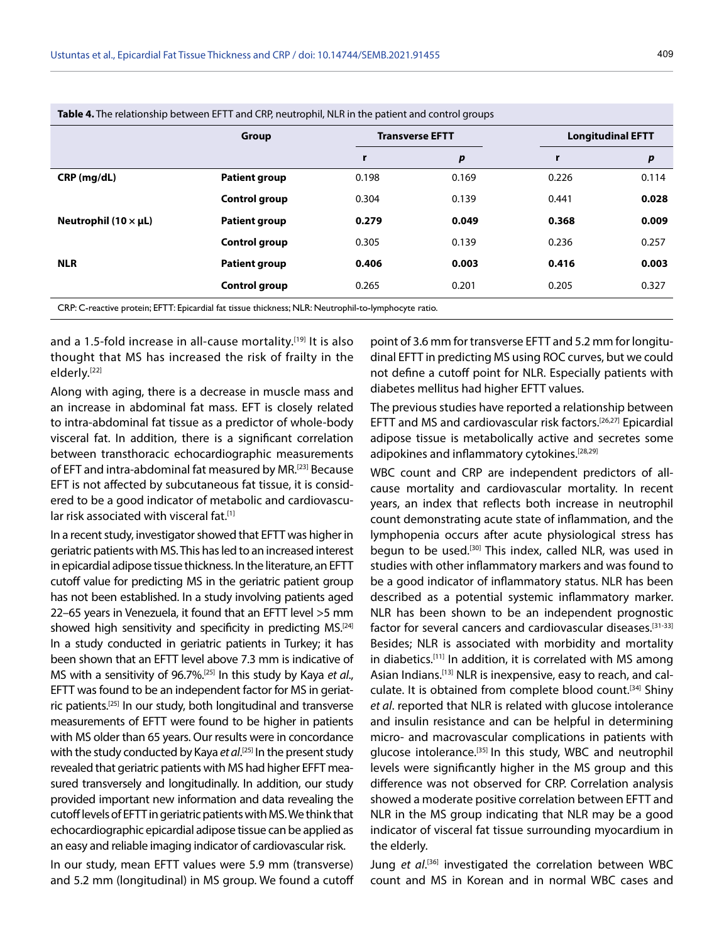|                             | <b>Table 4.</b> The relationship between EFTT and CRP, neutrophil, NLR in the patient and control groups |                        |       |                          |       |
|-----------------------------|----------------------------------------------------------------------------------------------------------|------------------------|-------|--------------------------|-------|
|                             | Group                                                                                                    | <b>Transverse EFTT</b> |       | <b>Longitudinal EFTT</b> |       |
|                             |                                                                                                          |                        | p     |                          | p     |
| $CRP$ (mg/dL)               | <b>Patient group</b>                                                                                     | 0.198                  | 0.169 | 0.226                    | 0.114 |
|                             | Control group                                                                                            | 0.304                  | 0.139 | 0.441                    | 0.028 |
| Neutrophil (10 $\times$ µL) | <b>Patient group</b>                                                                                     | 0.279                  | 0.049 | 0.368                    | 0.009 |

**NLR Patient group 0.406 0.003 0.416 0.003**

**Control group** 0.305 0.139 0.236 0.257

**Control group** 0.265 0.201 0.205 0.327

CRP: C-reactive protein; EFTT: Epicardial fat tissue thickness; NLR: Neutrophil-to-lymphocyte ratio.

and a 1.5-fold increase in all-cause mortality.<sup>[19]</sup> It is also thought that MS has increased the risk of frailty in the elderly.[22]

Along with aging, there is a decrease in muscle mass and an increase in abdominal fat mass. EFT is closely related to intra-abdominal fat tissue as a predictor of whole-body visceral fat. In addition, there is a significant correlation between transthoracic echocardiographic measurements of EFT and intra-abdominal fat measured by MR.[23] Because EFT is not affected by subcutaneous fat tissue, it is considered to be a good indicator of metabolic and cardiovascular risk associated with visceral fat.<sup>[1]</sup>

In a recent study, investigator showed that EFTT was higher in geriatric patients with MS. This has led to an increased interest in epicardial adipose tissue thickness. In the literature, an EFTT cutoff value for predicting MS in the geriatric patient group has not been established. In a study involving patients aged 22–65 years in Venezuela, it found that an EFTT level >5 mm showed high sensitivity and specificity in predicting MS.<sup>[24]</sup> In a study conducted in geriatric patients in Turkey; it has been shown that an EFTT level above 7.3 mm is indicative of MS with a sensitivity of 96.7%.[25] In this study by Kaya *et al*., EFTT was found to be an independent factor for MS in geriatric patients.[25] In our study, both longitudinal and transverse measurements of EFTT were found to be higher in patients with MS older than 65 years. Our results were in concordance with the study conducted by Kaya *et al*. [25] In the present study revealed that geriatric patients with MS had higher EFFT measured transversely and longitudinally. In addition, our study provided important new information and data revealing the cutoff levels of EFTT in geriatric patients with MS. We think that echocardiographic epicardial adipose tissue can be applied as an easy and reliable imaging indicator of cardiovascular risk.

In our study, mean EFTT values were 5.9 mm (transverse) and 5.2 mm (longitudinal) in MS group. We found a cutoff

point of 3.6 mm for transverse EFTT and 5.2 mm for longitudinal EFTT in predicting MS using ROC curves, but we could not define a cutoff point for NLR. Especially patients with diabetes mellitus had higher EFTT values.

The previous studies have reported a relationship between EFTT and MS and cardiovascular risk factors.[26,27] Epicardial adipose tissue is metabolically active and secretes some adipokines and inflammatory cytokines.<sup>[28,29]</sup>

WBC count and CRP are independent predictors of allcause mortality and cardiovascular mortality. In recent years, an index that reflects both increase in neutrophil count demonstrating acute state of inflammation, and the lymphopenia occurs after acute physiological stress has begun to be used.[30] This index, called NLR, was used in studies with other inflammatory markers and was found to be a good indicator of inflammatory status. NLR has been described as a potential systemic inflammatory marker. NLR has been shown to be an independent prognostic factor for several cancers and cardiovascular diseases.[31-33] Besides; NLR is associated with morbidity and mortality in diabetics.[11] In addition, it is correlated with MS among Asian Indians.[13] NLR is inexpensive, easy to reach, and calculate. It is obtained from complete blood count.[34] Shiny *et al*. reported that NLR is related with glucose intolerance and insulin resistance and can be helpful in determining micro- and macrovascular complications in patients with glucose intolerance.[35] In this study, WBC and neutrophil levels were significantly higher in the MS group and this difference was not observed for CRP. Correlation analysis showed a moderate positive correlation between EFTT and NLR in the MS group indicating that NLR may be a good indicator of visceral fat tissue surrounding myocardium in the elderly.

Jung et al.<sup>[36]</sup> investigated the correlation between WBC count and MS in Korean and in normal WBC cases and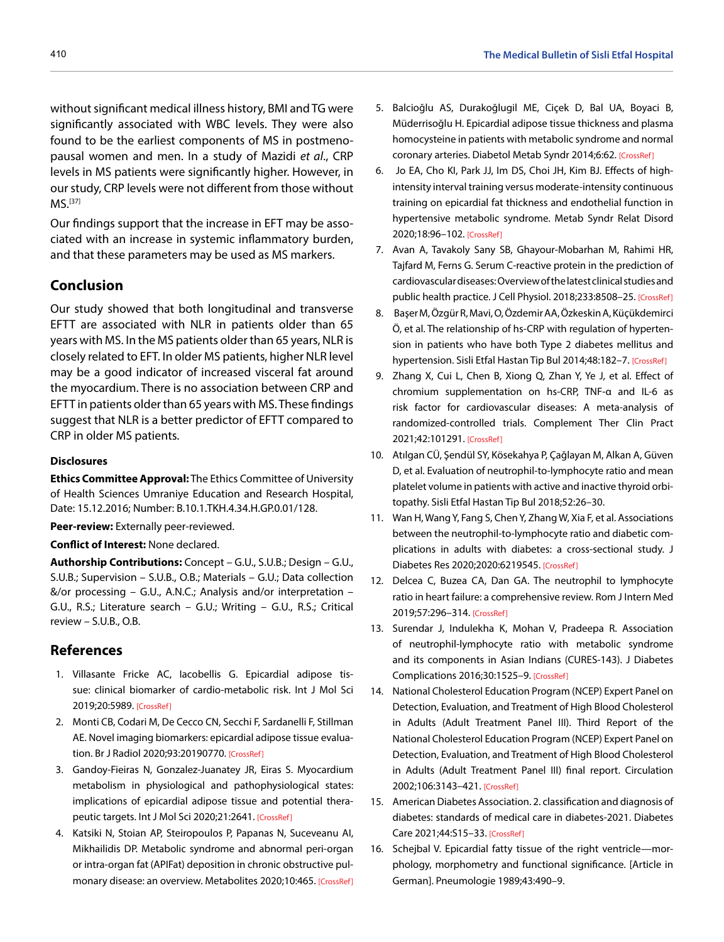without significant medical illness history, BMI and TG were significantly associated with WBC levels. They were also found to be the earliest components of MS in postmenopausal women and men. In a study of Mazidi *et al*., CRP levels in MS patients were significantly higher. However, in our study, CRP levels were not different from those without MS.[37]

Our findings support that the increase in EFT may be associated with an increase in systemic inflammatory burden, and that these parameters may be used as MS markers.

## **Conclusion**

Our study showed that both longitudinal and transverse EFTT are associated with NLR in patients older than 65 years with MS. In the MS patients older than 65 years, NLR is closely related to EFT. In older MS patients, higher NLR level may be a good indicator of increased visceral fat around the myocardium. There is no association between CRP and EFTT in patients older than 65 years with MS. These findings suggest that NLR is a better predictor of EFTT compared to CRP in older MS patients.

### **Disclosures**

**Ethics Committee Approval:** The Ethics Committee of University of Health Sciences Umraniye Education and Research Hospital, Date: 15.12.2016; Number: B.10.1.TKH.4.34.H.GP.0.01/128.

**Peer-review:** Externally peer-reviewed.

### **Conflict of Interest:** None declared.

**Authorship Contributions:** Concept – G.U., S.U.B.; Design – G.U., S.U.B.; Supervision – S.U.B., O.B.; Materials – G.U.; Data collection &/or processing – G.U., A.N.C.; Analysis and/or interpretation – G.U., R.S.; Literature search – G.U.; Writing – G.U., R.S.; Critical review – S.U.B., O.B.

## **References**

- 1. Villasante Fricke AC, Iacobellis G. Epicardial adipose tissue: clinical biomarker of cardio-metabolic risk. Int J Mol Sci 2019;20:5989[. \[CrossRef\]](https://doi.org/10.3390/ijms20235989)
- 2. Monti CB, Codari M, De Cecco CN, Secchi F, Sardanelli F, Stillman AE. Novel imaging biomarkers: epicardial adipose tissue evaluation. Br J Radiol 2020;93:2019077[0. \[CrossRef\]](https://doi.org/10.1259/bjr.20190770)
- 3. Gandoy-Fieiras N, Gonzalez-Juanatey JR, Eiras S. Myocardium metabolism in physiological and pathophysiological states: implications of epicardial adipose tissue and potential thera-peutic targets. Int J Mol Sci 2020;21:264[1. \[CrossRef\]](https://doi.org/10.3390/ijms21072641)
- 4. Katsiki N, Stoian AP, Steiropoulos P, Papanas N, Suceveanu AI, Mikhailidis DP. Metabolic syndrome and abnormal peri-organ or intra-organ fat (APIFat) deposition in chronic obstructive pulmonary disease: an overview. Metabolites 2020;10:46[5. \[CrossRef\]](https://doi.org/10.3390/metabo10110465)
- 5. Balcioğlu AS, Durakoğlugil ME, Ciçek D, Bal UA, Boyaci B, Müderrisoğlu H. Epicardial adipose tissue thickness and plasma homocysteine in patients with metabolic syndrome and normal coronary arteries. Diabetol Metab Syndr 2014;6:6[2. \[CrossRef\]](https://doi.org/10.1186/1758-5996-6-62)
- 6. Jo EA, Cho KI, Park JJ, Im DS, Choi JH, Kim BJ. Effects of highintensity interval training versus moderate-intensity continuous training on epicardial fat thickness and endothelial function in hypertensive metabolic syndrome. Metab Syndr Relat Disord 2020;18:96–10[2. \[CrossRef\]](https://doi.org/10.1089/met.2018.0128)
- 7. Avan A, Tavakoly Sany SB, Ghayour-Mobarhan M, Rahimi HR, Tajfard M, Ferns G. Serum C-reactive protein in the prediction of cardiovascular diseases: Overview of the latest clinical studies and public health practice. J Cell Physiol. 2018;233:8508–2[5. \[CrossRef\]](https://doi.org/10.1002/jcp.26791)
- 8. Başer M, Özgür R, Mavi, O, Özdemir AA, Özkeskin A, Küçükdemirci Ö, et al. The relationship of hs-CRP with regulation of hypertension in patients who have both Type 2 diabetes mellitus and hypertension. Sisli Etfal Hastan Tip Bul 2014;48:182-[7. \[CrossRef\]](https://doi.org/10.5350/SEMB.20140415024023)
- 9. Zhang X, Cui L, Chen B, Xiong Q, Zhan Y, Ye J, et al. Effect of chromium supplementation on hs-CRP, TNF-α and IL-6 as risk factor for cardiovascular diseases: A meta-analysis of randomized-controlled trials. Complement Ther Clin Pract 2021;42:10129[1. \[CrossRef\]](https://doi.org/10.1016/j.ctcp.2020.101291)
- 10. Atılgan CÜ, Şendül SY, Kösekahya P, Çağlayan M, Alkan A, Güven D, et al. Evaluation of neutrophil-to-lymphocyte ratio and mean platelet volume in patients with active and inactive thyroid orbitopathy. Sisli Etfal Hastan Tip Bul 2018;52:26–30.
- 11. Wan H, Wang Y, Fang S, Chen Y, Zhang W, Xia F, et al. Associations between the neutrophil-to-lymphocyte ratio and diabetic complications in adults with diabetes: a cross-sectional study. J Diabetes Res 2020;2020:6219545[. \[CrossRef\]](https://doi.org/10.1155/2020/6219545)
- 12. Delcea C, Buzea CA, Dan GA. The neutrophil to lymphocyte ratio in heart failure: a comprehensive review. Rom J Intern Med 2019;57:296–31[4. \[CrossRef\]](https://doi.org/10.2478/rjim-2019-0018)
- 13. Surendar J, Indulekha K, Mohan V, Pradeepa R. Association of neutrophil-lymphocyte ratio with metabolic syndrome and its components in Asian Indians (CURES-143). J Diabetes Complications 2016;30:1525[–9. \[CrossRef\]](https://doi.org/10.1016/j.jdiacomp.2016.08.006)
- 14. National Cholesterol Education Program (NCEP) Expert Panel on Detection, Evaluation, and Treatment of High Blood Cholesterol in Adults (Adult Treatment Panel III). Third Report of the National Cholesterol Education Program (NCEP) Expert Panel on Detection, Evaluation, and Treatment of High Blood Cholesterol in Adults (Adult Treatment Panel III) final report. Circulation 2002;106:3143–4[21. \[CrossRef\]](https://doi.org/10.1161/circ.106.25.3143)
- 15. American Diabetes Association. 2. classification and diagnosis of diabetes: standards of medical care in diabetes-2021. Diabetes Care 2021;44:S15–[33. \[CrossRef\]](https://doi.org/10.2337/dc21-S002)
- 16. Schejbal V. Epicardial fatty tissue of the right ventricle—morphology, morphometry and functional significance. [Article in German]. Pneumologie 1989;43:490–9.